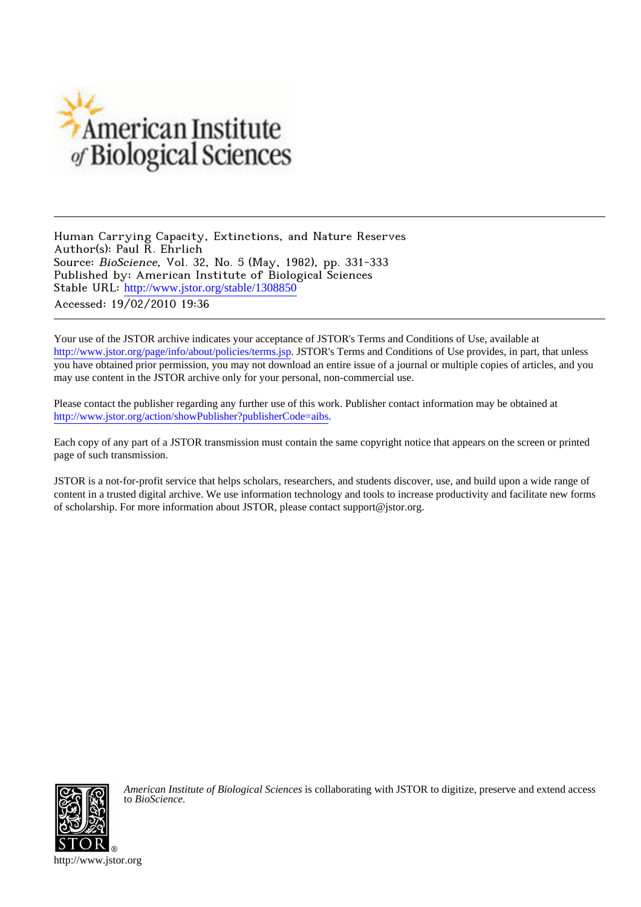

Human Carrying Capacity, Extinctions, and Nature Reserves Author(s): Paul R. Ehrlich Source: BioScience, Vol. 32, No. 5 (May, 1982), pp. 331-333 Published by: American Institute of Biological Sciences Stable URL: [http://www.jstor.org/stable/1308850](http://www.jstor.org/stable/1308850?origin=JSTOR-pdf) Accessed: 19/02/2010 19:36

Your use of the JSTOR archive indicates your acceptance of JSTOR's Terms and Conditions of Use, available at <http://www.jstor.org/page/info/about/policies/terms.jsp>. JSTOR's Terms and Conditions of Use provides, in part, that unless you have obtained prior permission, you may not download an entire issue of a journal or multiple copies of articles, and you may use content in the JSTOR archive only for your personal, non-commercial use.

Please contact the publisher regarding any further use of this work. Publisher contact information may be obtained at <http://www.jstor.org/action/showPublisher?publisherCode=aibs>.

Each copy of any part of a JSTOR transmission must contain the same copyright notice that appears on the screen or printed page of such transmission.

JSTOR is a not-for-profit service that helps scholars, researchers, and students discover, use, and build upon a wide range of content in a trusted digital archive. We use information technology and tools to increase productivity and facilitate new forms of scholarship. For more information about JSTOR, please contact support@jstor.org.



*American Institute of Biological Sciences* is collaborating with JSTOR to digitize, preserve and extend access to *BioScience.*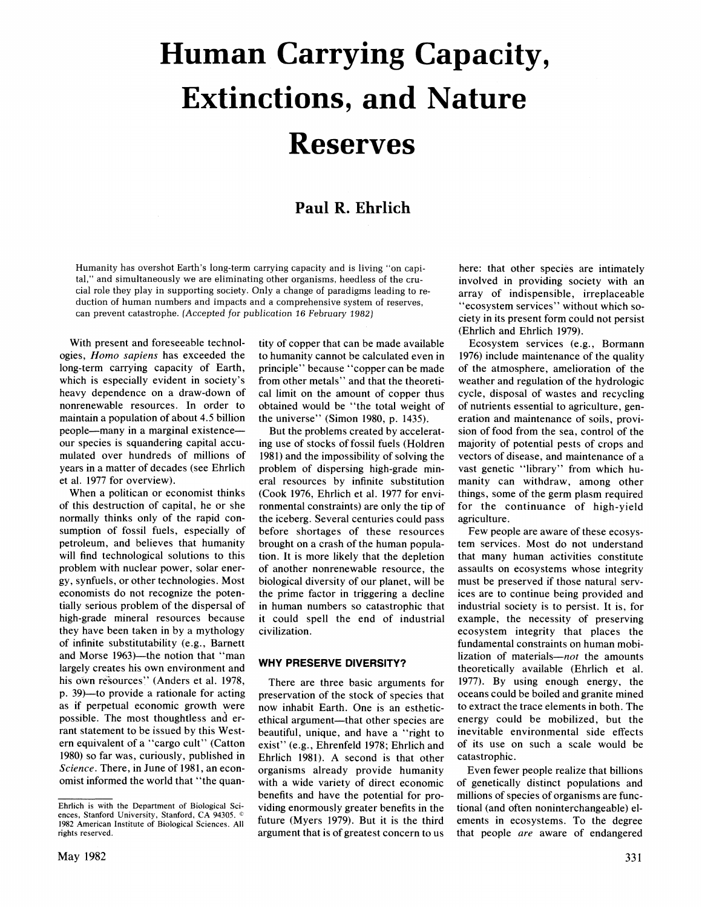# **Human Carrying Capacity, Extinctions, and Nature Reserves**

# **Paul R. Ehrlich**

**Humanity has overshot Earth's long-term carrying capacity and is living "on capital," and simultaneously we are eliminating other organisms, heedless of the crucial role they play in supporting society. Only a change of paradigms leading to reduction of human numbers and impacts and a comprehensive system of reserves, can prevent catastrophe. (Accepted for publication 16 February 1982)** 

**With present and foreseeable technologies, Homo sapiens has exceeded the long-term carrying capacity of Earth, which is especially evident in society's heavy dependence on a draw-down of nonrenewable resources. In order to maintain a population of about 4.5 billion people-many in a marginal existenceour species is squandering capital accumulated over hundreds of millions of years in a matter of decades (see Ehrlich et al. 1977 for overview).** 

**When a politican or economist thinks of this destruction of capital, he or she normally thinks only of the rapid consumption of fossil fuels, especially of petroleum, and believes that humanity will find technological solutions to this problem with nuclear power, solar energy, synfuels, or other technologies. Most economists do not recognize the potentially serious problem of the dispersal of high-grade mineral resources because they have been taken in by a mythology of infinite substitutability (e.g., Barnett**  and Morse 1963)—the notion that "man **largely creates his own environment and his own resources" (Anders et al. 1978, p. 39)-to provide a rationale for acting as if perpetual economic growth were possible. The most thoughtless and errant statement to be issued by this Western equivalent of a "cargo cult" (Catton 1980) so far was, curiously, published in Science. There, in June of 1981, an economist informed the world that "the quan-** **tity of copper that can be made available to humanity cannot be calculated even in principle" because "copper can be made from other metals" and that the theoretical limit on the amount of copper thus obtained would be "the total weight of the universe" (Simon 1980, p. 1435).** 

**But the problems created by accelerating use of stocks of fossil fuels (Holdren 1981) and the impossibility of solving the problem of dispersing high-grade mineral resources by infinite substitution (Cook 1976, Ehrlich et al. 1977 for environmental constraints) are only the tip of the iceberg. Several centuries could pass before shortages of these resources brought on a crash of the human population. It is more likely that the depletion of another nonrenewable resource, the biological diversity of our planet, will be the prime factor in triggering a decline in human numbers so catastrophic that it could spell the end of industrial civilization.** 

### **WHY PRESERVE DIVERSITY?**

**There are three basic arguments for preservation of the stock of species that now inhabit Earth. One is an estheticethical argument-that other species are beautiful, unique, and have a "right to exist" (e.g., Ehrenfeld 1978; Ehrlich and Ehrlich 1981). A second is that other organisms already provide humanity with a wide variety of direct economic benefits and have the potential for providing enormously greater benefits in the future (Myers 1979). But it is the third argument that is of greatest concern to us** 

**here: that other species are intimately involved in providing society with an array of indispensible, irreplaceable "ecosystem services" without which society in its present form could not persist (Ehrlich and Ehrlich 1979).** 

**Ecosystem services (e.g., Bormann 1976) include maintenance of the quality of the atmosphere, amelioration of the weather and regulation of the hydrologic cycle, disposal of wastes and recycling of nutrients essential to agriculture, generation and maintenance of soils, provision of food from the sea, control of the majority of potential pests of crops and vectors of disease, and maintenance of a vast genetic "library" from which humanity can withdraw, among other things, some of the germ plasm required for the continuance of high-yield agriculture.** 

**Few people are aware of these ecosystem services. Most do not understand that many human activities constitute assaults on ecosystems whose integrity must be preserved if those natural services are to continue being provided and industrial society is to persist. It is, for example, the necessity of preserving ecosystem integrity that places the fundamental constraints on human mobi**lization of materials-not the amounts **theoretically available (Ehrlich et al. 1977). By using enough energy, the oceans could be boiled and granite mined to extract the trace elements in both. The energy could be mobilized, but the inevitable environmental side effects of its use on such a scale would be catastrophic.** 

**Even fewer people realize that billions of genetically distinct populations and millions of species of organisms are functional (and often noninterchangeable) elements in ecosystems. To the degree that people are aware of endangered** 

**Ehrlich is with the Department of Biological Sciences, Stanford University, Stanford, CA 94305. <sup>c</sup> 1982 American Institute of Biological Sciences. All rights reserved.**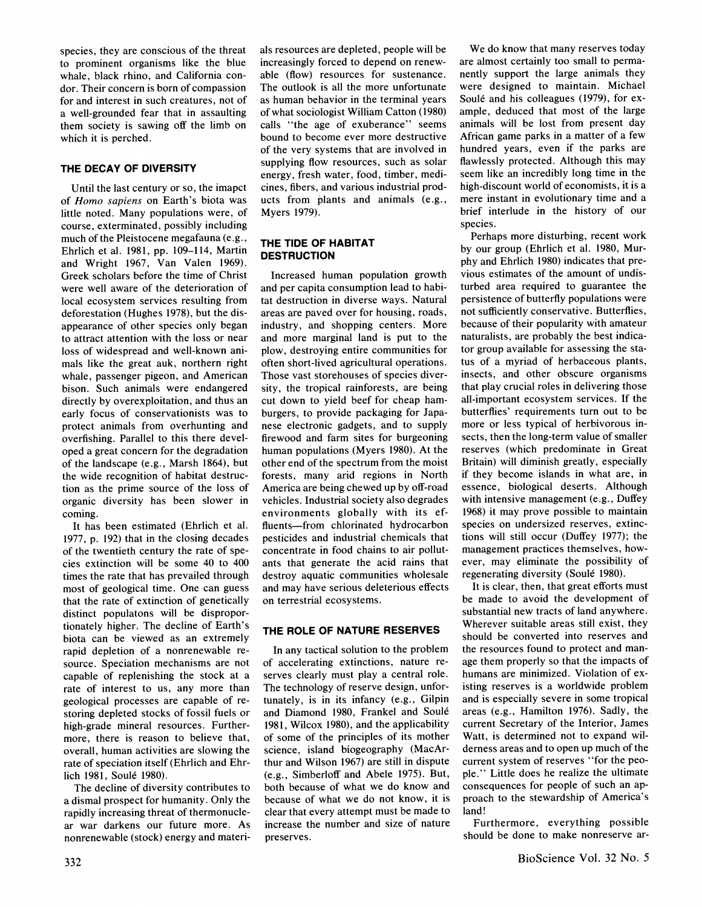**species, they are conscious of the threat to prominent organisms like the blue whale, black rhino, and California condor. Their concern is born of compassion for and interest in such creatures, not of a well-grounded fear that in assaulting them society is sawing off the limb on which it is perched.** 

### **THE DECAY OF DIVERSITY**

**Until the last century or so, the imapct of Homo sapiens on Earth's biota was little noted. Many populations were, of course, exterminated, possibly including much of the Pleistocene megafauna (e.g., Ehrlich et al. 1981, pp. 109-114, Martin and Wright 1967, Van Valen 1969). Greek scholars before the time of Christ were well aware of the deterioration of local ecosystem services resulting from deforestation (Hughes 1978), but the disappearance of other species only began to attract attention with the loss or near loss of widespread and well-known animals like the great auk, northern right whale, passenger pigeon, and American bison. Such animals were endangered directly by overexploitation, and thus an early focus of conservationists was to protect animals from overhunting and overfishing. Parallel to this there developed a great concern for the degradation of the landscape (e.g., Marsh 1864), but the wide recognition of habitat destruction as the prime source of the loss of organic diversity has been slower in coming.** 

**It has been estimated (Ehrlich et al. 1977, p. 192) that in the closing decades of the twentieth century the rate of species extinction will be some 40 to 400 times the rate that has prevailed through most of geological time. One can guess that the rate of extinction of genetically distinct populatons will be disproportionately higher. The decline of Earth's biota can be viewed as an extremely rapid depletion of a nonrenewable resource. Speciation mechanisms are not capable of replenishing the stock at a rate of interest to us, any more than geological processes are capable of restoring depleted stocks of fossil fuels or high-grade mineral resources. Furthermore, there is reason to believe that, overall, human activities are slowing the rate of speciation itself (Ehrlich and Ehr**lich 1981, Soulé 1980).

**The decline of diversity contributes to a dismal prospect for humanity. Only the rapidly increasing threat of thermonuclear war darkens our future more. As nonrenewable (stock) energy and materi-** **als resources are depleted, people will be increasingly forced to depend on renewable (flow) resources for sustenance. The outlook is all the more unfortunate as human behavior in the terminal years of what sociologist William Catton (1980) calls "the age of exuberance" seems bound to become ever more destructive of the very systems that are involved in supplying flow resources, such as solar energy, fresh water, food, timber, medicines, fibers, and various industrial products from plants and animals (e.g., Myers 1979).** 

## **THE TIDE OF HABITAT DESTRUCTION**

**Increased human population growth and per capita consumption lead to habitat destruction in diverse ways. Natural areas are paved over for housing, roads, industry, and shopping centers. More and more marginal land is put to the plow, destroying entire communities for often short-lived agricultural operations. Those vast storehouses of species diversity, the tropical rainforests, are being cut down to yield beef for cheap hamburgers, to provide packaging for Japanese electronic gadgets, and to supply firewood and farm sites for burgeoning human populations (Myers 1980). At the other end of the spectrum from the moist forests, many arid regions in North America are being chewed up by off-road vehicles. Industrial society also degrades environments globally with its effluents-from chlorinated hydrocarbon pesticides and industrial chemicals that concentrate in food chains to air pollutants that generate the acid rains that destroy aquatic communities wholesale and may have serious deleterious effects on terrestrial ecosystems.** 

# **THE ROLE OF NATURE RESERVES**

**In any tactical solution to the problem of accelerating extinctions, nature reserves clearly must play a central role. The technology of reserve design, unfortunately, is in its infancy (e.g., Gilpin and Diamond 1980, Frankel and Soul6 1981, Wilcox 1980), and the applicability of some of the principles of its mother science, island biogeography (MacArthur and Wilson 1967) are still in dispute (e.g., Simberloff and Abele 1975). But, both because of what we do know and because of what we do not know, it is clear that every attempt must be made to increase the number and size of nature preserves.** 

**We do know that many reserves today are almost certainly too small to permanently support the large animals they were designed to maintain. Michael Soul6 and his colleagues (1979), for example, deduced that most of the large animals will be lost from present day African game parks in a matter of a few hundred years, even if the parks are flawlessly protected. Although this may seem like an incredibly long time in the high-discount world of economists, it is a mere instant in evolutionary time and a brief interlude in the history of our species.** 

**Perhaps more disturbing, recent work by our group (Ehrlich et al. 1980, Murphy and Ehrlich 1980) indicates that previous estimates of the amount of undisturbed area required to guarantee the persistence of butterfly populations were not sufficiently conservative. Butterflies, because of their popularity with amateur naturalists, are probably the best indicator group available for assessing the status of a myriad of herbaceous plants, insects, and other obscure organisms that play crucial roles in delivering those all-important ecosystem services. If the butterflies' requirements turn out to be more or less typical of herbivorous insects, then the long-term value of smaller reserves (which predominate in Great Britain) will diminish greatly, especially if they become islands in what are, in essence, biological deserts. Although with intensive management (e.g., Duffey 1968) it may prove possible to maintain species on undersized reserves, extinctions will still occur (Duffey 1977); the management practices themselves, however, may eliminate the possibility of regenerating diversity (Soule 1980).** 

**It is clear, then, that great efforts must be made to avoid the development of substantial new tracts of land anywhere. Wherever suitable areas still exist, they should be converted into reserves and the resources found to protect and manage them properly so that the impacts of humans are minimized. Violation of existing reserves is a worldwide problem and is especially severe in some tropical areas (e.g., Hamilton 1976). Sadly, the current Secretary of the Interior, James Watt, is determined not to expand wilderness areas and to open up much of the current system of reserves "for the people." Little does he realize the ultimate consequences for people of such an approach to the stewardship of America's land!** 

**Furthermore, everything possible should be done to make nonreserve ar-**